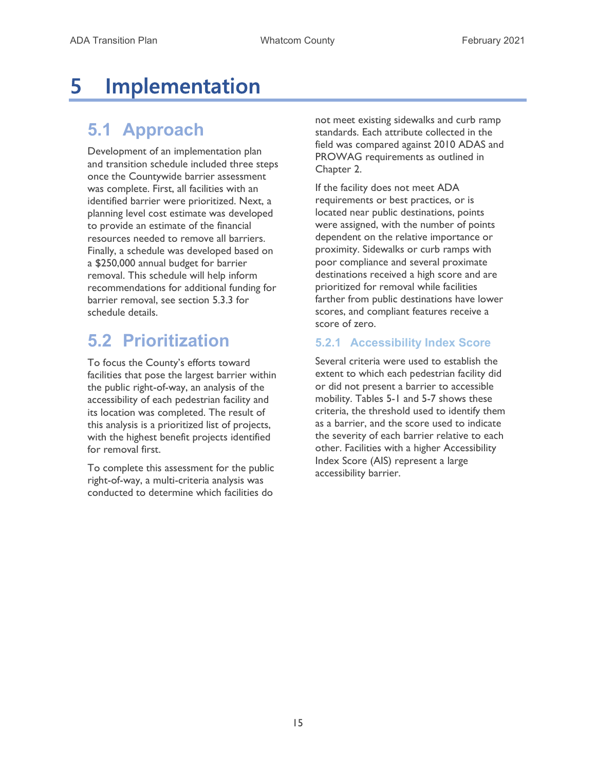# 5 Implementation

# 5.1 Approach

Development of an implementation plan and transition schedule included three steps once the Countywide barrier assessment was complete. First, all facilities with an identified barrier were prioritized. Next, a planning level cost estimate was developed to provide an estimate of the financial resources needed to remove all barriers. Finally, a schedule was developed based on a \$250,000 annual budget for barrier removal. This schedule will help inform recommendations for additional funding for barrier removal, see section 5.3.3 for schedule details.

# 5.2 Prioritization

To focus the County's efforts toward facilities that pose the largest barrier within the public right-of-way, an analysis of the accessibility of each pedestrian facility and its location was completed. The result of this analysis is a prioritized list of projects, with the highest benefit projects identified for removal first.

To complete this assessment for the public right-of-way, a multi-criteria analysis was conducted to determine which facilities do

not meet existing sidewalks and curb ramp standards. Each attribute collected in the field was compared against 2010 ADAS and PROWAG requirements as outlined in Chapter 2.

If the facility does not meet ADA requirements or best practices, or is located near public destinations, points were assigned, with the number of points dependent on the relative importance or proximity. Sidewalks or curb ramps with poor compliance and several proximate destinations received a high score and are prioritized for removal while facilities farther from public destinations have lower scores, and compliant features receive a score of zero.

### 5.2.1 Accessibility Index Score

Several criteria were used to establish the extent to which each pedestrian facility did or did not present a barrier to accessible mobility. Tables 5-1 and 5-7 shows these criteria, the threshold used to identify them as a barrier, and the score used to indicate the severity of each barrier relative to each other. Facilities with a higher Accessibility Index Score (AIS) represent a large accessibility barrier.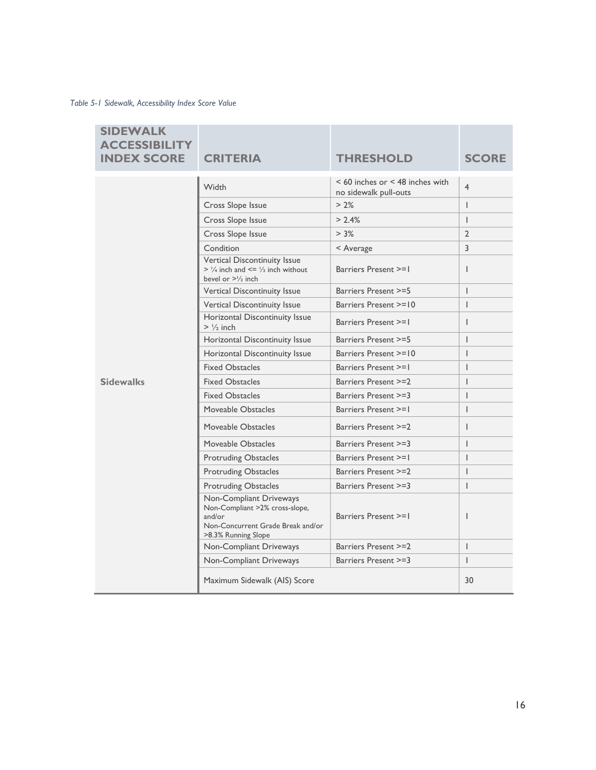Table 5-1 Sidewalk, Accessibility Index Score Value

| <b>SIDEWALK</b><br><b>ACCESSIBILITY</b><br><b>INDEX SCORE</b> | <b>CRITERIA</b>                                                                                                                 | <b>THRESHOLD</b>                                             | <b>SCORE</b>   |
|---------------------------------------------------------------|---------------------------------------------------------------------------------------------------------------------------------|--------------------------------------------------------------|----------------|
|                                                               | <b>Width</b>                                                                                                                    | $< 60$ inches or $< 48$ inches with<br>no sidewalk pull-outs | $\overline{4}$ |
|                                                               | Cross Slope Issue                                                                                                               | $> 2\%$                                                      | $\overline{1}$ |
|                                                               | Cross Slope Issue                                                                                                               | > 2.4%                                                       | $\overline{1}$ |
|                                                               | Cross Slope Issue                                                                                                               | $> 3\%$                                                      | $\overline{2}$ |
|                                                               | Condition                                                                                                                       | < Average                                                    | 3              |
|                                                               | Vertical Discontinuity Issue<br>$> \frac{1}{4}$ inch and $\leq \frac{1}{2}$ inch without<br>bevel or $>1/2$ inch                | Barriers Present >=1                                         | $\mathbf{I}$   |
|                                                               | Vertical Discontinuity Issue                                                                                                    | Barriers Present >=5                                         | $\mathbf{I}$   |
|                                                               | Vertical Discontinuity Issue                                                                                                    | Barriers Present >=10                                        | $\overline{1}$ |
|                                                               | Horizontal Discontinuity Issue<br>$> \frac{1}{2}$ inch                                                                          | Barriers Present >=1                                         | ı              |
|                                                               | Horizontal Discontinuity Issue                                                                                                  | Barriers Present >=5                                         | $\overline{1}$ |
| <b>Sidewalks</b>                                              | Horizontal Discontinuity Issue                                                                                                  | Barriers Present >=10                                        | $\overline{1}$ |
|                                                               | <b>Fixed Obstacles</b>                                                                                                          | Barriers Present >=1                                         | $\overline{1}$ |
|                                                               | <b>Fixed Obstacles</b>                                                                                                          | Barriers Present >=2                                         | I              |
|                                                               | <b>Fixed Obstacles</b>                                                                                                          | Barriers Present >=3                                         | $\overline{1}$ |
|                                                               | Moveable Obstacles                                                                                                              | Barriers Present >=1                                         | $\overline{1}$ |
|                                                               | Moveable Obstacles                                                                                                              | Barriers Present >=2                                         | I              |
|                                                               | Moveable Obstacles                                                                                                              | Barriers Present >=3                                         | I              |
|                                                               | <b>Protruding Obstacles</b>                                                                                                     | Barriers Present >=1                                         | $\overline{1}$ |
|                                                               | <b>Protruding Obstacles</b>                                                                                                     | Barriers Present >=2                                         | $\overline{1}$ |
|                                                               | <b>Protruding Obstacles</b>                                                                                                     | Barriers Present >=3                                         | $\overline{1}$ |
|                                                               | Non-Compliant Driveways<br>Non-Compliant >2% cross-slope,<br>and/or<br>Non-Concurrent Grade Break and/or<br>>8.3% Running Slope | Barriers Present >=1                                         | ı              |
|                                                               | Non-Compliant Driveways                                                                                                         | Barriers Present >=2                                         | $\overline{1}$ |
|                                                               | Non-Compliant Driveways                                                                                                         | Barriers Present >=3                                         | $\overline{1}$ |
|                                                               | Maximum Sidewalk (AIS) Score                                                                                                    |                                                              | 30             |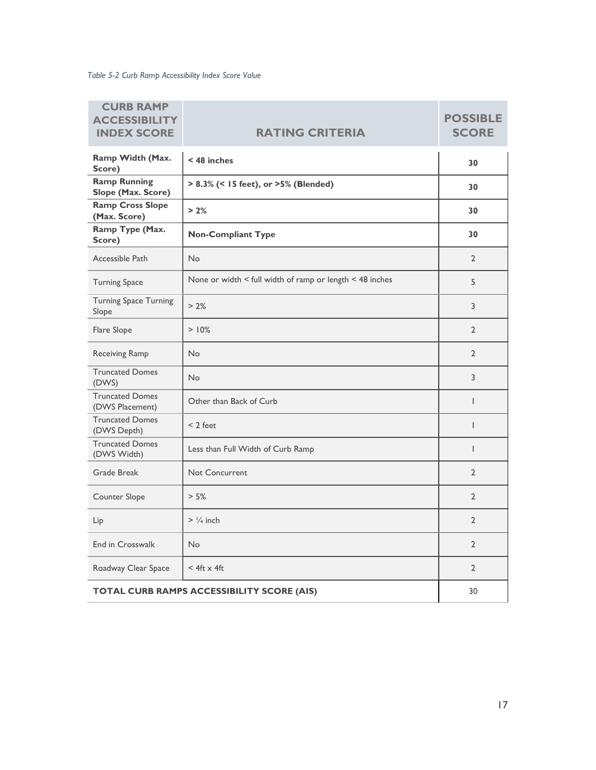Table 5-2 Curb Ramp Accessibility Index Score Value

| <b>CURB RAMP</b><br><b>ACCESSIBILIT</b><br><b>INDEX SCORE</b> | <b>RATING CRITERIA</b>                                   | <b>POSSIBLE</b><br><b>SCORE</b> |
|---------------------------------------------------------------|----------------------------------------------------------|---------------------------------|
| Ramp Width (Max.<br>Score)                                    | $<$ 48 inches                                            | 30                              |
| <b>Ramp Running</b><br>Slope (Max. Score)                     | > 8.3% (< 15 feet), or >5% (Blended)                     | 30                              |
| <b>Ramp Cross Slope</b><br>(Max. Score)                       | > 2%                                                     | 30                              |
| Ramp Type (Max.<br>Score)                                     | <b>Non-Compliant Type</b>                                | 30                              |
| Accessible Path                                               | No                                                       | $\overline{2}$                  |
| <b>Turning Space</b>                                          | None or width < full width of ramp or length < 48 inches | 5                               |
| <b>Turning Space Turning</b><br>Slope                         | > 2%                                                     | 3                               |
| Flare Slope                                                   | $> 10\%$                                                 | $\overline{2}$                  |
| Receiving Ramp                                                | <b>No</b>                                                | $\overline{2}$                  |
| <b>Truncated Domes</b><br>(DWS)                               | No                                                       | 3                               |
| <b>Truncated Domes</b><br>(DWS Placement)                     | Other than Back of Curb                                  | $\mathbf{I}$                    |
| <b>Truncated Domes</b><br>(DWS Depth)                         | $< 2$ feet                                               | $\overline{1}$                  |
| <b>Truncated Domes</b><br>(DWS Width)                         | Less than Full Width of Curb Ramp                        | $\mathsf{I}$                    |
| Grade Break                                                   | Not Concurrent                                           | $\overline{2}$                  |
| Counter Slope                                                 | > 5%                                                     | $\overline{2}$                  |
| Lip                                                           | $>$ $\frac{1}{4}$ inch                                   | $\overline{2}$                  |
| <b>End in Crosswalk</b>                                       | No                                                       | $\overline{2}$                  |
| Roadway Clear Space                                           | $<$ 4ft $\times$ 4ft                                     | $\overline{2}$                  |
| TOTAL CURB RAMPS ACCESSIBILITY SCORE (AIS)                    |                                                          | 30                              |

17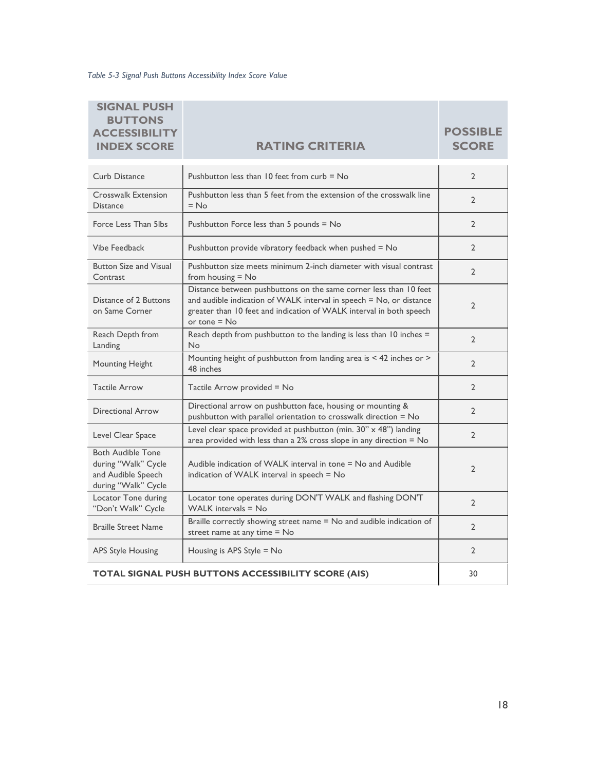Table 5-3 Signal Push Buttons Accessibility Index Score Value

| <b>SIGNAL PUSH</b><br><b>BUTTONS</b><br><b>ACCESSIBILITY</b><br><b>INDEX SCORE</b>           | <b>RATING CRITERIA</b>                                                                                                                                                                                                            | <b>POSSIBLE</b><br><b>SCORE</b> |
|----------------------------------------------------------------------------------------------|-----------------------------------------------------------------------------------------------------------------------------------------------------------------------------------------------------------------------------------|---------------------------------|
| Curb Distance                                                                                | Pushbutton less than $10$ feet from curb $=$ No                                                                                                                                                                                   | $\overline{2}$                  |
| Crosswalk Extension<br><b>Distance</b>                                                       | Pushbutton less than 5 feet from the extension of the crosswalk line<br>$=$ No                                                                                                                                                    | $\overline{2}$                  |
| Force Less Than 5lbs                                                                         | Pushbutton Force less than 5 pounds = No                                                                                                                                                                                          | $\overline{2}$                  |
| Vibe Feedback                                                                                | Pushbutton provide vibratory feedback when pushed $=$ No                                                                                                                                                                          | $\overline{2}$                  |
| <b>Button Size and Visual</b><br>Contrast                                                    | Pushbutton size meets minimum 2-inch diameter with visual contrast<br>from housing $=$ No                                                                                                                                         | $\overline{2}$                  |
| Distance of 2 Buttons<br>on Same Corner                                                      | Distance between pushbuttons on the same corner less than 10 feet<br>and audible indication of WALK interval in speech = No, or distance<br>greater than 10 feet and indication of WALK interval in both speech<br>or tone $=$ No | $\overline{2}$                  |
| Reach Depth from<br>Landing                                                                  | Reach depth from pushbutton to the landing is less than 10 inches =<br>No                                                                                                                                                         | $\overline{2}$                  |
| Mounting Height                                                                              | Mounting height of pushbutton from landing area is < 42 inches or ><br>48 inches                                                                                                                                                  | $\overline{2}$                  |
| <b>Tactile Arrow</b>                                                                         | Tactile Arrow provided = No                                                                                                                                                                                                       | $\overline{2}$                  |
| Directional Arrow                                                                            | Directional arrow on pushbutton face, housing or mounting &<br>pushbutton with parallel orientation to crosswalk direction = No                                                                                                   | $\overline{2}$                  |
| Level Clear Space                                                                            | Level clear space provided at pushbutton (min. 30" x 48") landing<br>area provided with less than a $2\%$ cross slope in any direction = $No$                                                                                     | $\overline{2}$                  |
| <b>Both Audible Tone</b><br>during "Walk" Cycle<br>and Audible Speech<br>during "Walk" Cycle | Audible indication of WALK interval in tone = No and Audible<br>indication of WALK interval in speech = No                                                                                                                        | $\overline{2}$                  |
| Locator Tone during<br>"Don't Walk" Cycle                                                    | Locator tone operates during DON'T WALK and flashing DON'T<br>WALK intervals $=$ No                                                                                                                                               | $\overline{2}$                  |
| <b>Braille Street Name</b>                                                                   | Braille correctly showing street name = No and audible indication of<br>street name at any time = No                                                                                                                              | $\overline{2}$                  |
| <b>APS Style Housing</b>                                                                     | Housing is APS Style = No                                                                                                                                                                                                         | $\overline{2}$                  |
| TOTAL SIGNAL PUSH BUTTONS ACCESSIBILITY SCORE (AIS)                                          | 30                                                                                                                                                                                                                                |                                 |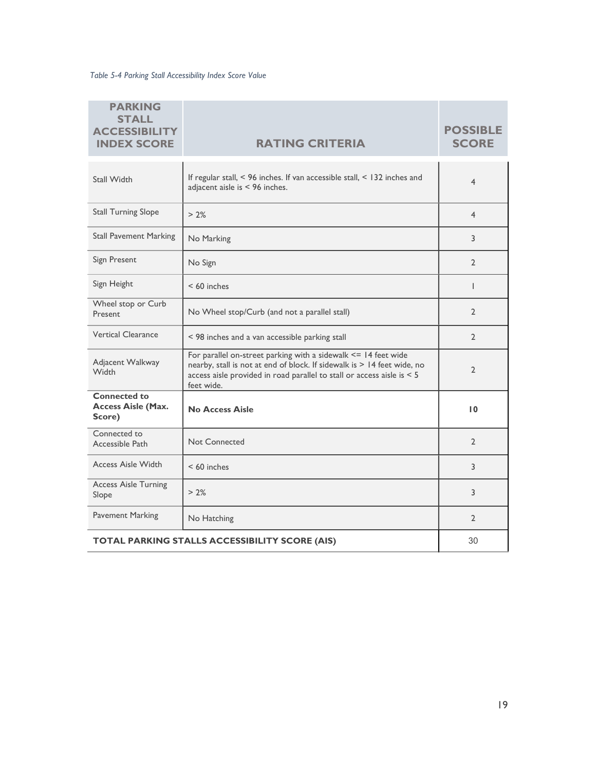Table 5-4 Parking Stall Accessibility Index Score Value

| <b>PARKING</b><br><b>STALL</b><br><b>ACCESSIBILITY</b><br><b>INDEX SCORE</b> | <b>RATING CRITERIA</b>                                                                                                                                                                                                                  | <b>POSSIBLE</b><br><b>SCORE</b> |
|------------------------------------------------------------------------------|-----------------------------------------------------------------------------------------------------------------------------------------------------------------------------------------------------------------------------------------|---------------------------------|
| Stall Width                                                                  | If regular stall, < 96 inches. If van accessible stall, < 132 inches and<br>adjacent aisle is < 96 inches.                                                                                                                              | $\overline{4}$                  |
| <b>Stall Turning Slope</b>                                                   | $> 2\%$                                                                                                                                                                                                                                 | $\overline{4}$                  |
| <b>Stall Pavement Marking</b>                                                | No Marking                                                                                                                                                                                                                              | 3                               |
| Sign Present                                                                 | No Sign                                                                                                                                                                                                                                 | $\overline{2}$                  |
| Sign Height                                                                  | $< 60$ inches                                                                                                                                                                                                                           | T                               |
| Wheel stop or Curb<br>Present                                                | No Wheel stop/Curb (and not a parallel stall)                                                                                                                                                                                           | $\overline{2}$                  |
| <b>Vertical Clearance</b>                                                    | < 98 inches and a van accessible parking stall                                                                                                                                                                                          | $\overline{2}$                  |
| Adjacent Walkway<br>Width                                                    | For parallel on-street parking with a sidewalk $\leq$ 14 feet wide<br>nearby, stall is not at end of block. If sidewalk is > 14 feet wide, no<br>access aisle provided in road parallel to stall or access aisle is $< 5$<br>feet wide. | $\overline{2}$                  |
| <b>Connected to</b><br><b>Access Aisle (Max.</b><br>Score)                   | <b>No Access Aisle</b>                                                                                                                                                                                                                  | 10                              |
| Connected to<br>Accessible Path                                              | Not Connected                                                                                                                                                                                                                           | $\overline{2}$                  |
| <b>Access Aisle Width</b>                                                    | $< 60$ inches                                                                                                                                                                                                                           | 3                               |
| <b>Access Aisle Turning</b><br>Slope                                         | > 2%                                                                                                                                                                                                                                    | 3                               |
| <b>Pavement Marking</b>                                                      | No Hatching                                                                                                                                                                                                                             | $\overline{2}$                  |
| TOTAL PARKING STALLS ACCESSIBILITY SCORE (AIS)                               |                                                                                                                                                                                                                                         | 30                              |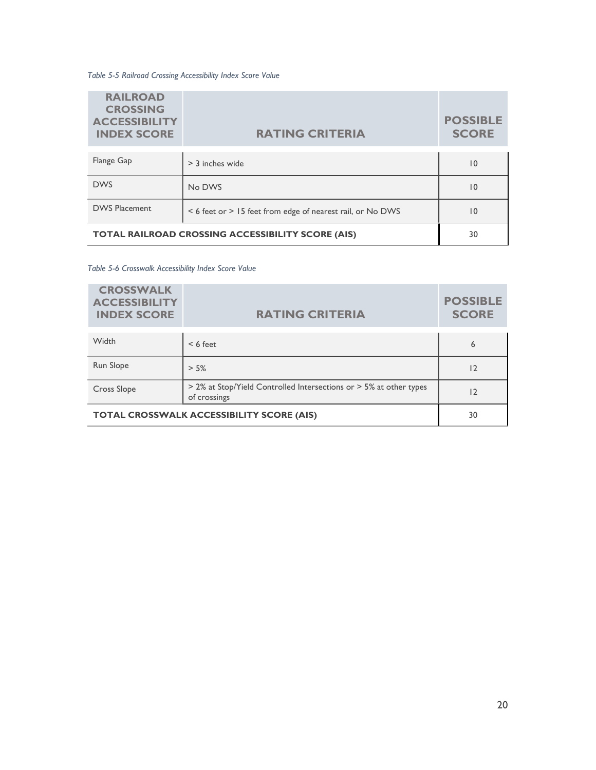Table 5-5 Railroad Crossing Accessibility Index Score Value

| <b>RAILROAD</b><br><b>CROSSING</b><br><b>ACCESSIBILITY</b><br><b>INDEX SCORE</b> | <b>RATING CRITERIA</b>                                     | <b>POSSIBLE</b><br><b>SCORE</b> |
|----------------------------------------------------------------------------------|------------------------------------------------------------|---------------------------------|
| Flange Gap                                                                       | $>$ 3 inches wide                                          | 10                              |
| <b>DWS</b>                                                                       | No DWS                                                     | 10                              |
| <b>DWS Placement</b>                                                             | < 6 feet or > 15 feet from edge of nearest rail, or No DWS | 10                              |
| <b>TOTAL RAILROAD CROSSING ACCESSIBILITY SCORE (AIS)</b>                         | 30                                                         |                                 |

Table 5-6 Crosswalk Accessibility Index Score Value

| <b>CROSSWALK</b><br><b>ACCESSIBILITY</b><br><b>INDEX SCORE</b> | <b>RATING CRITERIA</b>                                                             | <b>POSSIBLE</b><br><b>SCORE</b> |
|----------------------------------------------------------------|------------------------------------------------------------------------------------|---------------------------------|
| Width                                                          | $< 6$ feet                                                                         | 6                               |
| Run Slope                                                      | $> 5\%$                                                                            | 12                              |
| <b>Cross Slope</b>                                             | > 2% at Stop/Yield Controlled Intersections or > 5% at other types<br>of crossings | 12                              |
| <b>TOTAL CROSSWALK ACCESSIBILITY SCORE (AIS)</b>               |                                                                                    | 30                              |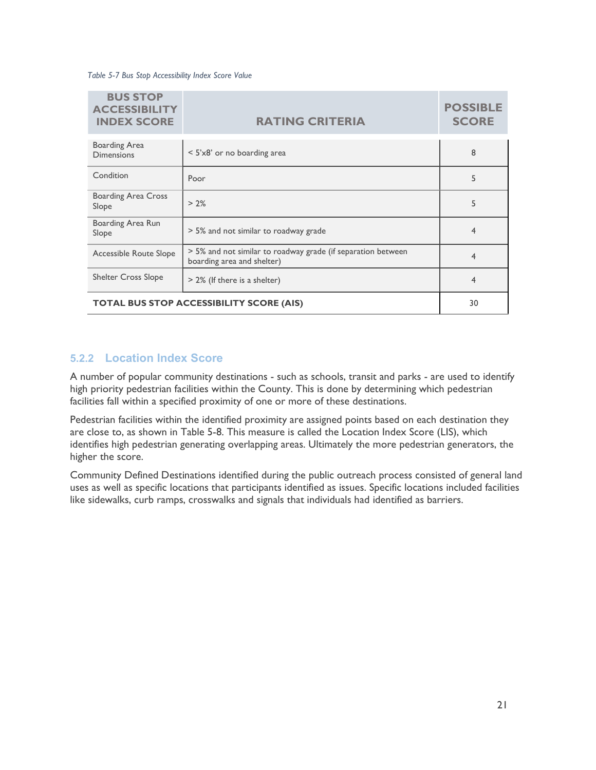Table 5-7 Bus Stop Accessibility Index Score Value

| <b>BUS STOP</b><br><b>ACCESSIBILITY</b><br><b>INDEX SCORE</b> | <b>RATING CRITERIA</b>                                                                     | <b>POSSIBLE</b><br><b>SCORE</b> |
|---------------------------------------------------------------|--------------------------------------------------------------------------------------------|---------------------------------|
| <b>Boarding Area</b><br><b>Dimensions</b>                     | $\le$ 5'x8' or no boarding area                                                            | 8                               |
| Condition                                                     | Poor                                                                                       | 5                               |
| <b>Boarding Area Cross</b><br>Slope                           | $> 2\%$                                                                                    | 5                               |
| Boarding Area Run<br>Slope                                    | > 5% and not similar to roadway grade                                                      | $\overline{4}$                  |
| Accessible Route Slope                                        | > 5% and not similar to roadway grade (if separation between<br>boarding area and shelter) | 4                               |
| <b>Shelter Cross Slope</b>                                    | > 2% (If there is a shelter)                                                               | 4                               |
| <b>TOTAL BUS STOP ACCESSIBILITY SCORE (AIS)</b>               |                                                                                            | 30                              |

#### 5.2.2 Location Index Score

A number of popular community destinations - such as schools, transit and parks - are used to identify high priority pedestrian facilities within the County. This is done by determining which pedestrian facilities fall within a specified proximity of one or more of these destinations.

Pedestrian facilities within the identified proximity are assigned points based on each destination they are close to, as shown in Table 5-8. This measure is called the Location Index Score (LIS), which identifies high pedestrian generating overlapping areas. Ultimately the more pedestrian generators, the higher the score.

Community Defined Destinations identified during the public outreach process consisted of general land uses as well as specific locations that participants identified as issues. Specific locations included facilities like sidewalks, curb ramps, crosswalks and signals that individuals had identified as barriers.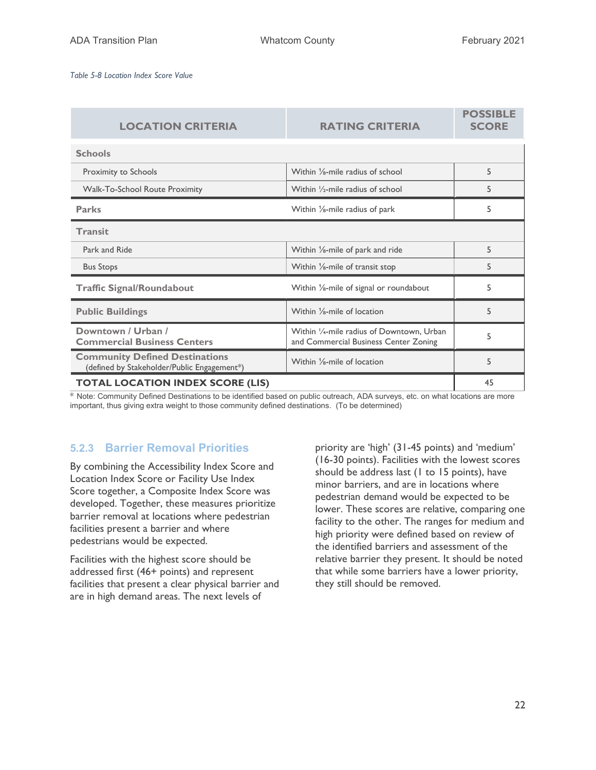Table 5-8 Location Index Score Value

| <b>LOCATION CRITERIA</b>                                                             | <b>RATING CRITERIA</b>                                                             | <b>POSSIBLE</b><br><b>SCORE</b> |
|--------------------------------------------------------------------------------------|------------------------------------------------------------------------------------|---------------------------------|
| <b>Schools</b>                                                                       |                                                                                    |                                 |
| Proximity to Schools                                                                 | Within $\frac{1}{8}$ -mile radius of school                                        | 5                               |
| <b>Walk-To-School Route Proximity</b>                                                | Within 1/2-mile radius of school                                                   | 5                               |
| <b>Parks</b>                                                                         | Within $\frac{1}{6}$ -mile radius of park                                          | 5                               |
| <b>Transit</b>                                                                       |                                                                                    |                                 |
| Park and Ride                                                                        | Within $\frac{1}{8}$ -mile of park and ride                                        | 5                               |
| <b>Bus Stops</b>                                                                     | Within $\frac{1}{8}$ -mile of transit stop                                         | 5                               |
| <b>Traffic Signal/Roundabout</b>                                                     | Within 1/8-mile of signal or roundabout                                            | 5                               |
| <b>Public Buildings</b>                                                              | Within 1/ <sub>8</sub> -mile of location                                           | 5                               |
| Downtown / Urban /<br><b>Commercial Business Centers</b>                             | Within 1/4-mile radius of Downtown, Urban<br>and Commercial Business Center Zoning | 5                               |
| <b>Community Defined Destinations</b><br>(defined by Stakeholder/Public Engagement*) | Within 1/ <sub>8</sub> -mile of location                                           | 5                               |
| <b>TOTAL LOCATION INDEX SCORE (LIS)</b>                                              |                                                                                    |                                 |

\* Note: Community Defined Destinations to be identified based on public outreach, ADA surveys, etc. on what locations are more important, thus giving extra weight to those community defined destinations. (To be determined)

### 5.2.3 Barrier Removal Priorities

By combining the Accessibility Index Score and Location Index Score or Facility Use Index Score together, a Composite Index Score was developed. Together, these measures prioritize barrier removal at locations where pedestrian facilities present a barrier and where pedestrians would be expected.

Facilities with the highest score should be addressed first (46+ points) and represent facilities that present a clear physical barrier and are in high demand areas. The next levels of

priority are 'high' (31-45 points) and 'medium' (16-30 points). Facilities with the lowest scores should be address last (1 to 15 points), have minor barriers, and are in locations where pedestrian demand would be expected to be lower. These scores are relative, comparing one facility to the other. The ranges for medium and high priority were defined based on review of the identified barriers and assessment of the relative barrier they present. It should be noted that while some barriers have a lower priority, they still should be removed.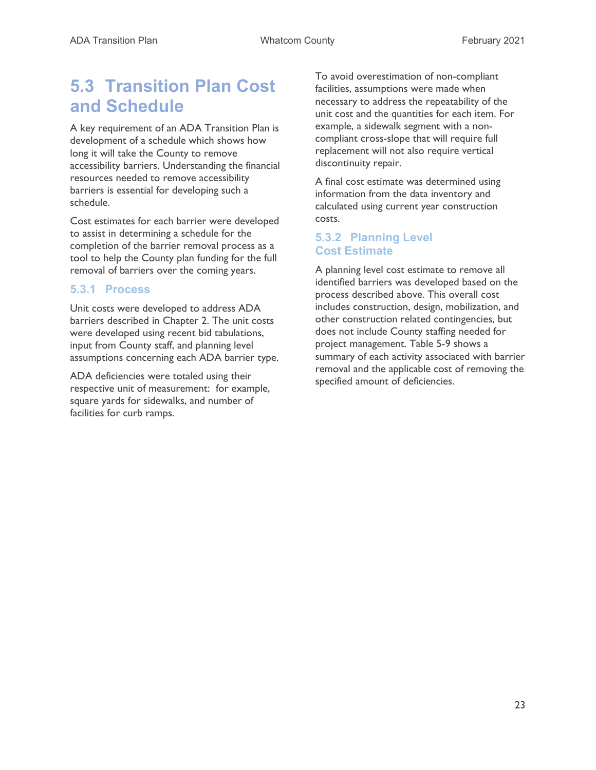# 5.3 Transition Plan Cost and Schedule

A key requirement of an ADA Transition Plan is development of a schedule which shows how long it will take the County to remove accessibility barriers. Understanding the financial resources needed to remove accessibility barriers is essential for developing such a schedule.

Cost estimates for each barrier were developed to assist in determining a schedule for the completion of the barrier removal process as a tool to help the County plan funding for the full removal of barriers over the coming years.

#### 5.3.1 Process

Unit costs were developed to address ADA barriers described in Chapter 2. The unit costs were developed using recent bid tabulations, input from County staff, and planning level assumptions concerning each ADA barrier type.

ADA deficiencies were totaled using their respective unit of measurement: for example, square yards for sidewalks, and number of facilities for curb ramps.

To avoid overestimation of non-compliant facilities, assumptions were made when necessary to address the repeatability of the unit cost and the quantities for each item. For example, a sidewalk segment with a noncompliant cross-slope that will require full replacement will not also require vertical discontinuity repair.

A final cost estimate was determined using information from the data inventory and calculated using current year construction costs.

### 5.3.2 Planning Level Cost Estimate

A planning level cost estimate to remove all identified barriers was developed based on the process described above. This overall cost includes construction, design, mobilization, and other construction related contingencies, but does not include County staffing needed for project management. Table 5-9 shows a summary of each activity associated with barrier removal and the applicable cost of removing the specified amount of deficiencies.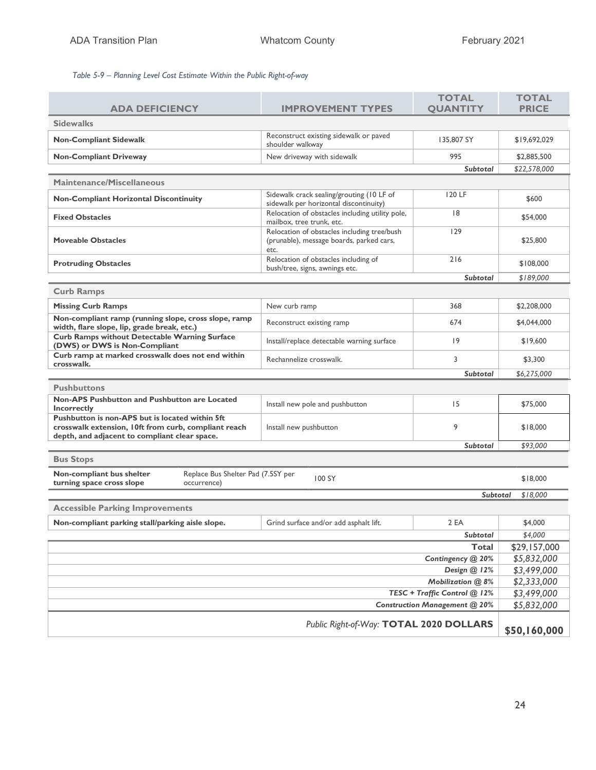#### Table 5-9 – Planning Level Cost Estimate Within the Public Right-of-way

|                                                                                                                                                          |                                                                                                 | <b>TOTAL</b>    | <b>TOTAL</b> |  |
|----------------------------------------------------------------------------------------------------------------------------------------------------------|-------------------------------------------------------------------------------------------------|-----------------|--------------|--|
| <b>ADA DEFICIENCY</b>                                                                                                                                    | <b>IMPROVEMENT TYPES</b>                                                                        | <b>QUANTITY</b> | <b>PRICE</b> |  |
| <b>Sidewalks</b>                                                                                                                                         |                                                                                                 |                 |              |  |
| <b>Non-Compliant Sidewalk</b>                                                                                                                            | Reconstruct existing sidewalk or paved<br>shoulder walkway                                      | 135,807 SY      | \$19,692,029 |  |
| <b>Non-Compliant Driveway</b>                                                                                                                            | New driveway with sidewalk                                                                      | 995             | \$2,885,500  |  |
|                                                                                                                                                          |                                                                                                 | <b>Subtotal</b> | \$22,578,000 |  |
| Maintenance/Miscellaneous                                                                                                                                |                                                                                                 |                 |              |  |
| <b>Non-Compliant Horizontal Discontinuity</b>                                                                                                            | Sidewalk crack sealing/grouting (10 LF of<br>sidewalk per horizontal discontinuity)             | 120 LF          | \$600        |  |
| <b>Fixed Obstacles</b>                                                                                                                                   | Relocation of obstacles including utility pole,<br>mailbox, tree trunk, etc.                    | 8               | \$54,000     |  |
| <b>Moveable Obstacles</b>                                                                                                                                | Relocation of obstacles including tree/bush<br>(prunable), message boards, parked cars,<br>etc. | 129             | \$25,800     |  |
| <b>Protruding Obstacles</b>                                                                                                                              | Relocation of obstacles including of<br>bush/tree, signs, awnings etc.                          | 216             | \$108,000    |  |
|                                                                                                                                                          |                                                                                                 | <b>Subtotal</b> | \$189,000    |  |
| <b>Curb Ramps</b>                                                                                                                                        |                                                                                                 |                 |              |  |
| <b>Missing Curb Ramps</b>                                                                                                                                | New curb ramp                                                                                   | 368             | \$2,208,000  |  |
| Non-compliant ramp (running slope, cross slope, ramp<br>width, flare slope, lip, grade break, etc.)                                                      | Reconstruct existing ramp                                                                       | 674             | \$4,044,000  |  |
| <b>Curb Ramps without Detectable Warning Surface</b><br>(DWS) or DWS is Non-Compliant                                                                    | Install/replace detectable warning surface                                                      | 9               | \$19,600     |  |
| Curb ramp at marked crosswalk does not end within<br>crosswalk.                                                                                          | Rechannelize crosswalk.                                                                         | 3               | \$3,300      |  |
|                                                                                                                                                          |                                                                                                 | <b>Subtotal</b> | \$6,275,000  |  |
| <b>Pushbuttons</b>                                                                                                                                       |                                                                                                 |                 |              |  |
| Non-APS Pushbutton and Pushbutton are Located<br>Incorrectly                                                                                             | Install new pole and pushbutton                                                                 | 15              | \$75,000     |  |
| Pushbutton is non-APS but is located within 5ft<br>crosswalk extension, 10ft from curb, compliant reach<br>depth, and adjacent to compliant clear space. | Install new pushbutton                                                                          | 9               | \$18,000     |  |
| <b>Subtotal</b>                                                                                                                                          |                                                                                                 | \$93,000        |              |  |
| <b>Bus Stops</b>                                                                                                                                         |                                                                                                 |                 |              |  |
| Non-compliant bus shelter<br>Replace Bus Shelter Pad (7.5SY per<br>100 SY<br>\$18,000<br>turning space cross slope<br>occurrence)                        |                                                                                                 |                 |              |  |
| <b>Subtotal</b><br>\$18,000                                                                                                                              |                                                                                                 |                 |              |  |
| <b>Accessible Parking Improvements</b>                                                                                                                   |                                                                                                 |                 |              |  |
| Non-compliant parking stall/parking aisle slope.                                                                                                         | Grind surface and/or add asphalt lift.                                                          | 2 EA            | \$4,000      |  |
| Subtotal                                                                                                                                                 |                                                                                                 |                 |              |  |
| Total                                                                                                                                                    |                                                                                                 |                 |              |  |
| Contingency @ 20%                                                                                                                                        |                                                                                                 |                 | \$5,832,000  |  |
| Design @ 12%                                                                                                                                             |                                                                                                 |                 | \$3,499,000  |  |
| Mobilization @ 8%                                                                                                                                        |                                                                                                 |                 | \$2,333,000  |  |
| TESC + Traffic Control @ 12%                                                                                                                             |                                                                                                 |                 | \$3,499,000  |  |
| <b>Construction Management @ 20%</b>                                                                                                                     |                                                                                                 |                 | \$5,832,000  |  |
| Public Right-of-Way: TOTAL 2020 DOLLARS                                                                                                                  |                                                                                                 |                 | \$50,160,000 |  |